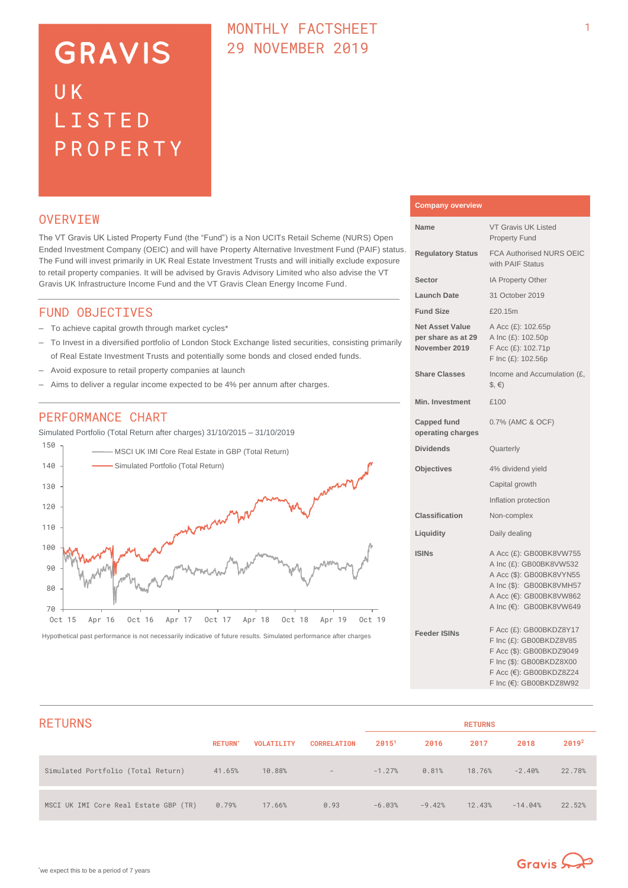# **GRAVIS** UK LISTED PROPERTY

# MONTHLY FACTSHEET 29 NOVEMBER 2019

### **OVERVTEW**

The VT Gravis UK Listed Property Fund (the "Fund") is a Non UCITs Retail Scheme (NURS) Open Ended Investment Company (OEIC) and will have Property Alternative Investment Fund (PAIF) status. The Fund will invest primarily in UK Real Estate Investment Trusts and will initially exclude exposure to retail property companies. It will be advised by Gravis Advisory Limited who also advise the VT Gravis UK Infrastructure Income Fund and the VT Gravis Clean Energy Income Fund.

#### FUND OBJECTIVES

- To achieve capital growth through market cycles\*
- To Invest in a diversified portfolio of London Stock Exchange listed securities, consisting primarily of Real Estate Investment Trusts and potentially some bonds and closed ended funds.
- Avoid exposure to retail property companies at launch
- Aims to deliver a regular income expected to be 4% per annum after charges.

### PERFORMANCE CHART

Simulated Portfolio (Total Return after charges) 31/10/2015 – 31/10/2019



Hypothetical past performance is not necessarily indicative of future results. Simulated performance after charges

| <b>Company overview</b>                                |                                                                                                                                                                  |
|--------------------------------------------------------|------------------------------------------------------------------------------------------------------------------------------------------------------------------|
| Name                                                   | <b>VT Gravis UK Listed</b><br><b>Property Fund</b>                                                                                                               |
| <b>Regulatory Status</b>                               | FCA Authorised NURS OEIC<br>with PAIF Status                                                                                                                     |
| Sector                                                 | IA Property Other                                                                                                                                                |
| <b>Launch Date</b>                                     | 31 October 2019                                                                                                                                                  |
| <b>Fund Size</b>                                       | £20.15m                                                                                                                                                          |
| Net Asset Value<br>per share as at 29<br>November 2019 | A Acc (£): 102.65p<br>A Inc (£): 102.50p<br>F Acc (£): 102.71p<br>F Inc (£): 102.56p                                                                             |
| <b>Share Classes</b>                                   | Income and Accumulation (£,<br>$\xi, \epsilon$                                                                                                                   |
| <b>Min. Investment</b>                                 | £100                                                                                                                                                             |
| <b>Capped fund</b><br>operating charges                | 0.7% (AMC & OCF)                                                                                                                                                 |
| <b>Dividends</b>                                       | Quarterly                                                                                                                                                        |
| <b>Objectives</b>                                      | 4% dividend yield                                                                                                                                                |
|                                                        | Capital growth                                                                                                                                                   |
|                                                        | Inflation protection                                                                                                                                             |
| <b>Classification</b>                                  | Non-complex                                                                                                                                                      |
| Liquidity                                              | Daily dealing                                                                                                                                                    |
| ISINs                                                  | A Acc (£): GB00BK8VW755<br>A Inc (£): GB00BK8VW532<br>A Acc (\$): GB00BK8VYN55<br>A Inc (\$): GB00BK8VMH57<br>A Acc (€): GB00BK8VW862<br>A Inc (€): GB00BK8VW649 |
| <b>Feeder ISINs</b>                                    | F Acc (£): GB00BKDZ8Y17<br>F Inc (£): GB00BKDZ8V85<br>F Acc (\$): GB00BKDZ9049<br>F Inc (\$): GB00BKDZ8X00<br>F Acc (€): GB00BKDZ8Z24<br>F Inc (€): GB00BKDZ8W92 |

| <b>RETURNS</b>                        |                |                   | <b>RETURNS</b>     |          |          |        |           |                   |
|---------------------------------------|----------------|-------------------|--------------------|----------|----------|--------|-----------|-------------------|
|                                       | <b>RETURN*</b> | <b>VOLATILITY</b> | <b>CORRELATION</b> | 20151    | 2016     | 2017   | 2018      | 2019 <sup>2</sup> |
| Simulated Portfolio (Total Return)    | 41.65%         | 10.88%            | $\sim$ 100 $\mu$   | $-1.27%$ | 0.81%    | 18.76% | $-2.40%$  | 22.78%            |
| MSCI UK IMI Core Real Estate GBP (TR) | 0.79%          | 17.66%            | 0.93               | $-6.03%$ | $-9.42%$ | 12.43% | $-14.04%$ | 22.52%            |

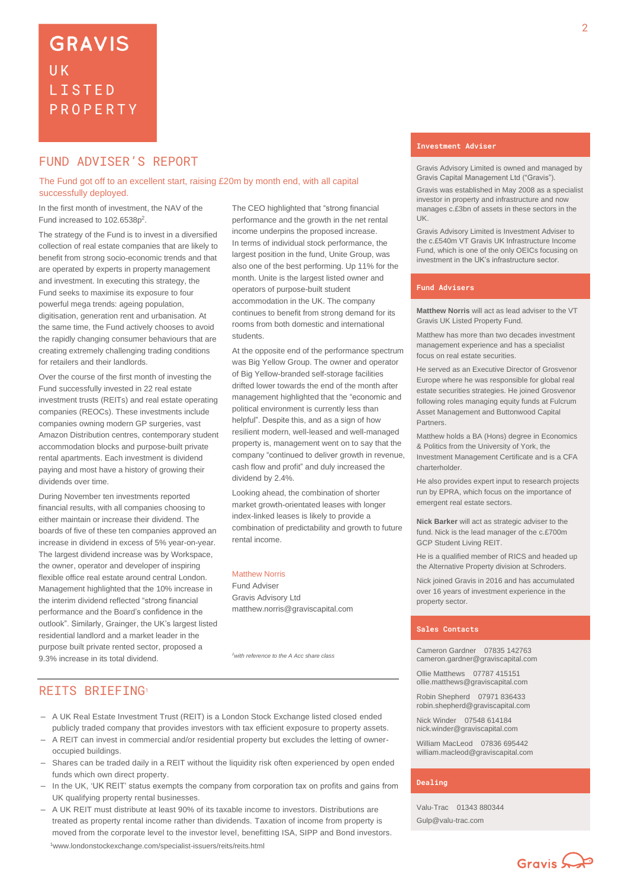# **GRAVIS UK** LISTED PROPERTY

# FUND ADVISER'S REPORT

The Fund got off to an excellent start, raising £20m by month end, with all capital successfully deployed.

#### In the first month of investment, the NAV of the Fund increased to 102.6538p<sup>2</sup>.

The strategy of the Fund is to invest in a diversified collection of real estate companies that are likely to benefit from strong socio-economic trends and that are operated by experts in property management and investment. In executing this strategy, the Fund seeks to maximise its exposure to four powerful mega trends: ageing population, digitisation, generation rent and urbanisation. At the same time, the Fund actively chooses to avoid the rapidly changing consumer behaviours that are creating extremely challenging trading conditions for retailers and their landlords.

Over the course of the first month of investing the Fund successfully invested in 22 real estate investment trusts (REITs) and real estate operating companies (REOCs). These investments include companies owning modern GP surgeries, vast Amazon Distribution centres, contemporary student accommodation blocks and purpose-built private rental apartments. Each investment is dividend paying and most have a history of growing their dividends over time.

During November ten investments reported financial results, with all companies choosing to either maintain or increase their dividend. The boards of five of these ten companies approved an increase in dividend in excess of 5% year-on-year. The largest dividend increase was by Workspace, the owner, operator and developer of inspiring flexible office real estate around central London. Management highlighted that the 10% increase in the interim dividend reflected "strong financial performance and the Board's confidence in the outlook". Similarly, Grainger, the UK's largest listed residential landlord and a market leader in the purpose built private rented sector, proposed a 9.3% increase in its total dividend.

The CEO highlighted that "strong financial performance and the growth in the net rental income underpins the proposed increase. In terms of individual stock performance, the largest position in the fund, Unite Group, was also one of the best performing. Up 11% for the month. Unite is the largest listed owner and operators of purpose-built student accommodation in the UK. The company continues to benefit from strong demand for its rooms from both domestic and international students.

At the opposite end of the performance spectrum was Big Yellow Group. The owner and operator of Big Yellow-branded self-storage facilities drifted lower towards the end of the month after management highlighted that the "economic and political environment is currently less than helpful". Despite this, and as a sign of how resilient modern, well-leased and well-managed property is, management went on to say that the company "continued to deliver growth in revenue, cash flow and profit" and duly increased the dividend by 2.4%.

Looking ahead, the combination of shorter market growth-orientated leases with longer index-linked leases is likely to provide a combination of predictability and growth to future rental income.

#### Matthew Norris

Fund Adviser Gravis Advisory Ltd matthew.norris@graviscapital.com

*<sup>2</sup>with reference to the A Acc share class*

#### **Investment Adviser**

Gravis Advisory Limited is owned and managed by Gravis Capital Management Ltd ("Gravis").

Gravis was established in May 2008 as a specialist investor in property and infrastructure and now manages c.£3bn of assets in these sectors in the UK.

Gravis Advisory Limited is Investment Adviser to the c.£540m VT Gravis UK Infrastructure Income Fund, which is one of the only OEICs focusing on investment in the UK's infrastructure sector.

#### **Fund Advisers**

**Matthew Norris** will act as lead adviser to the VT Gravis UK Listed Property Fund.

Matthew has more than two decades investment management experience and has a specialist focus on real estate securities.

He served as an Executive Director of Grosvenor Europe where he was responsible for global real estate securities strategies. He joined Grosvenor following roles managing equity funds at Fulcrum Asset Management and Buttonwood Capital Partners.

Matthew holds a BA (Hons) degree in Economics & Politics from the University of York, the Investment Management Certificate and is a CFA charterholder.

He also provides expert input to research projects run by EPRA, which focus on the importance of emergent real estate sectors.

**Nick Barker** will act as strategic adviser to the fund. Nick is the lead manager of the c.£700m GCP Student Living REIT.

He is a qualified member of RICS and headed up the Alternative Property division at Schroders.

Nick joined Gravis in 2016 and has accumulated over 16 years of investment experience in the property sector.

#### **Sales Contacts**

Cameron Gardner 07835 142763 cameron.gardner@graviscapital.com

Ollie Matthews 07787 415151 [ollie.matthews@graviscapital.com](mailto:ollie.matthews@graviscapital.com)

Robin Shepherd 07971 836433 [robin.shepherd@graviscapital.com](mailto:robin.shepherd@graviscapital.com)

Nick Winder [07548 614184](tel:07548%20614184) [nick.winder@graviscapital.com](mailto:nick.winder@graviscapital.com)

William MacLeod 07836 695442 [william.macleod@graviscapital.com](mailto:william.macleod@graviscapital.com)

#### **Dealing**

Valu‑Trac 01343 880344 Gulp@valu-trac.com

# REITS BRIEFING<sup>1</sup>

- A UK Real Estate Investment Trust (REIT) is a London Stock Exchange listed closed ended publicly traded company that provides investors with tax efficient exposure to property assets.
- A REIT can invest in commercial and/or residential property but excludes the letting of owneroccupied buildings.
- Shares can be traded daily in a REIT without the liquidity risk often experienced by open ended funds which own direct property.
- In the UK, 'UK REIT' status exempts the company from corporation tax on profits and gains from UK qualifying property rental businesses.
- A UK REIT must distribute at least 90% of its taxable income to investors. Distributions are treated as property rental income rather than dividends. Taxation of income from property is moved from the corporate level to the investor level, benefitting ISA, SIPP and Bond investors. 1www.londonstockexchange.com/specialist-issuers/reits/reits.html

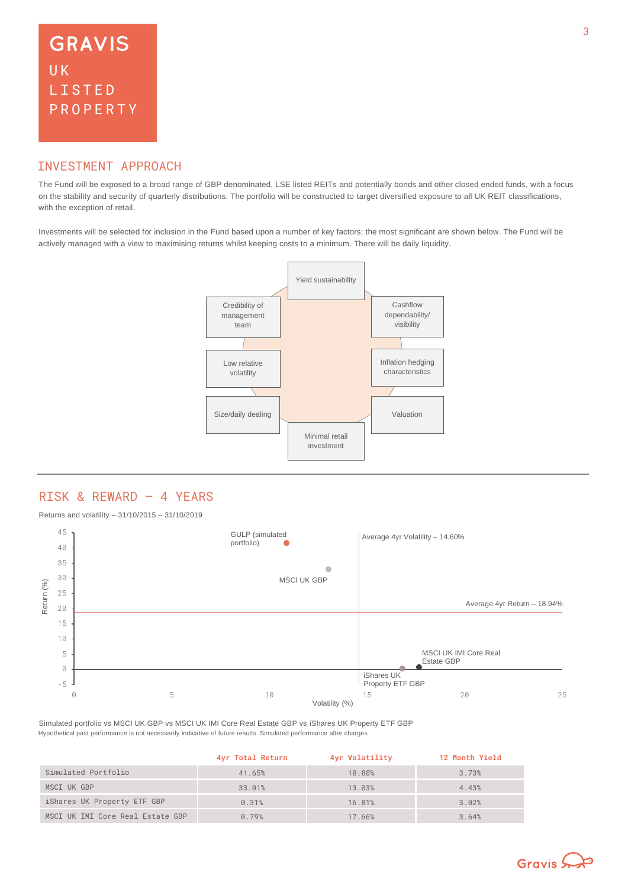# INVESTMENT APPROACH

The Fund will be exposed to a broad range of GBP denominated, LSE listed REITs and potentially bonds and other closed ended funds, with a focus on the stability and security of quarterly distributions. The portfolio will be constructed to target diversified exposure to all UK REIT classifications, with the exception of retail.

Investments will be selected for inclusion in the Fund based upon a number of key factors; the most significant are shown below. The Fund will be actively managed with a view to maximising returns whilst keeping costs to a minimum. There will be daily liquidity.



# RISK & REWARD – 4 YEARS

Returns and volatility – 31/10/2015 – 31/10/2019



Hypothetical past performance is not necessarily indicative of future results. Simulated performance after charges Simulated portfolio vs MSCI UK GBP vs MSCI UK IMI Core Real Estate GBP vs iShares UK Property ETF GBP

|                                  | 4yr Total Return | 4yr Volatility | <b>12 Month Yield</b> |
|----------------------------------|------------------|----------------|-----------------------|
| Simulated Portfolio              | 41.65%           | 10.88%         | 3.73%                 |
| MSCI UK GBP                      | 33.01%           | 13.03%         | 4.43%                 |
| iShares UK Property ETF GBP      | 0.31%            | 16.81%         | 3.02%                 |
| MSCI UK IMI Core Real Estate GBP | 0.79%            | 17.66%         | 3.64%                 |

![](_page_2_Picture_11.jpeg)